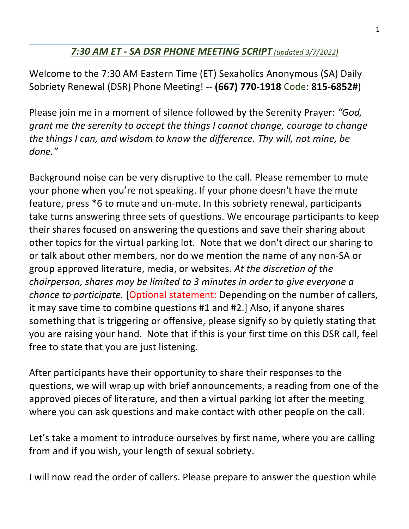## *7:30 AM ET - SA DSR PHONE MEETING SCRIPT (updated 3/7/2022)*

Welcome to the 7:30 AM Eastern Time (ET) Sexaholics Anonymous (SA) Daily Sobriety Renewal (DSR) Phone Meeting! -- **(667) 770-1918** Code: **815-6852#**) 

Please join me in a moment of silence followed by the Serenity Prayer: "God, *grant* me the serenity to accept the things I cannot change, courage to change *the things I can, and wisdom to know the difference. Thy will, not mine, be done."*

Background noise can be very disruptive to the call. Please remember to mute your phone when you're not speaking. If your phone doesn't have the mute feature, press \*6 to mute and un-mute. In this sobriety renewal, participants take turns answering three sets of questions. We encourage participants to keep their shares focused on answering the questions and save their sharing about other topics for the virtual parking lot. Note that we don't direct our sharing to or talk about other members, nor do we mention the name of any non-SA or group approved literature, media, or websites. At the discretion of the *chairperson, shares may be limited to 3 minutes in order to give everyone a chance to participate.* [Optional statement: Depending on the number of callers, it may save time to combine questions #1 and #2.] Also, if anyone shares something that is triggering or offensive, please signify so by quietly stating that you are raising your hand. Note that if this is your first time on this DSR call, feel free to state that you are just listening.

After participants have their opportunity to share their responses to the questions, we will wrap up with brief announcements, a reading from one of the approved pieces of literature, and then a virtual parking lot after the meeting where you can ask questions and make contact with other people on the call.

Let's take a moment to introduce ourselves by first name, where you are calling from and if you wish, your length of sexual sobriety.

I will now read the order of callers. Please prepare to answer the question while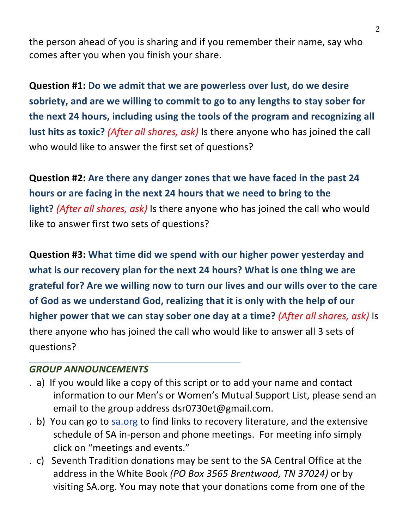the person ahead of you is sharing and if you remember their name, say who comes after you when you finish your share.

**Question #1: Do we admit that we are powerless over lust, do we desire** sobriety, and are we willing to commit to go to any lengths to stay sober for the next 24 hours, including using the tools of the program and recognizing all **lust hits as toxic?** (*After all shares, ask*) Is there anyone who has joined the call who would like to answer the first set of questions?

**Question #2:** Are there any danger zones that we have faced in the past 24 hours or are facing in the next 24 hours that we need to bring to the **light?** (After all shares, ask) Is there anyone who has joined the call who would like to answer first two sets of questions?

**Question #3: What time did we spend with our higher power yesterday and** what is our recovery plan for the next 24 hours? What is one thing we are grateful for? Are we willing now to turn our lives and our wills over to the care of God as we understand God, realizing that it is only with the help of our **higher power that we can stay sober one day at a time?** (*After all shares, ask*) Is there anyone who has joined the call who would like to answer all 3 sets of questions?

## **GROUP ANNOUNCEMENTS**

- . a) If you would like a copy of this script or to add your name and contact information to our Men's or Women's Mutual Support List, please send an email to the group address dsr0730et@gmail.com.
- . b) You can go to sa.org to find links to recovery literature, and the extensive schedule of SA in-person and phone meetings. For meeting info simply click on "meetings and events."
- . c) Seventh Tradition donations may be sent to the SA Central Office at the address in the White Book (PO Box 3565 Brentwood, TN 37024) or by visiting SA.org. You may note that your donations come from one of the